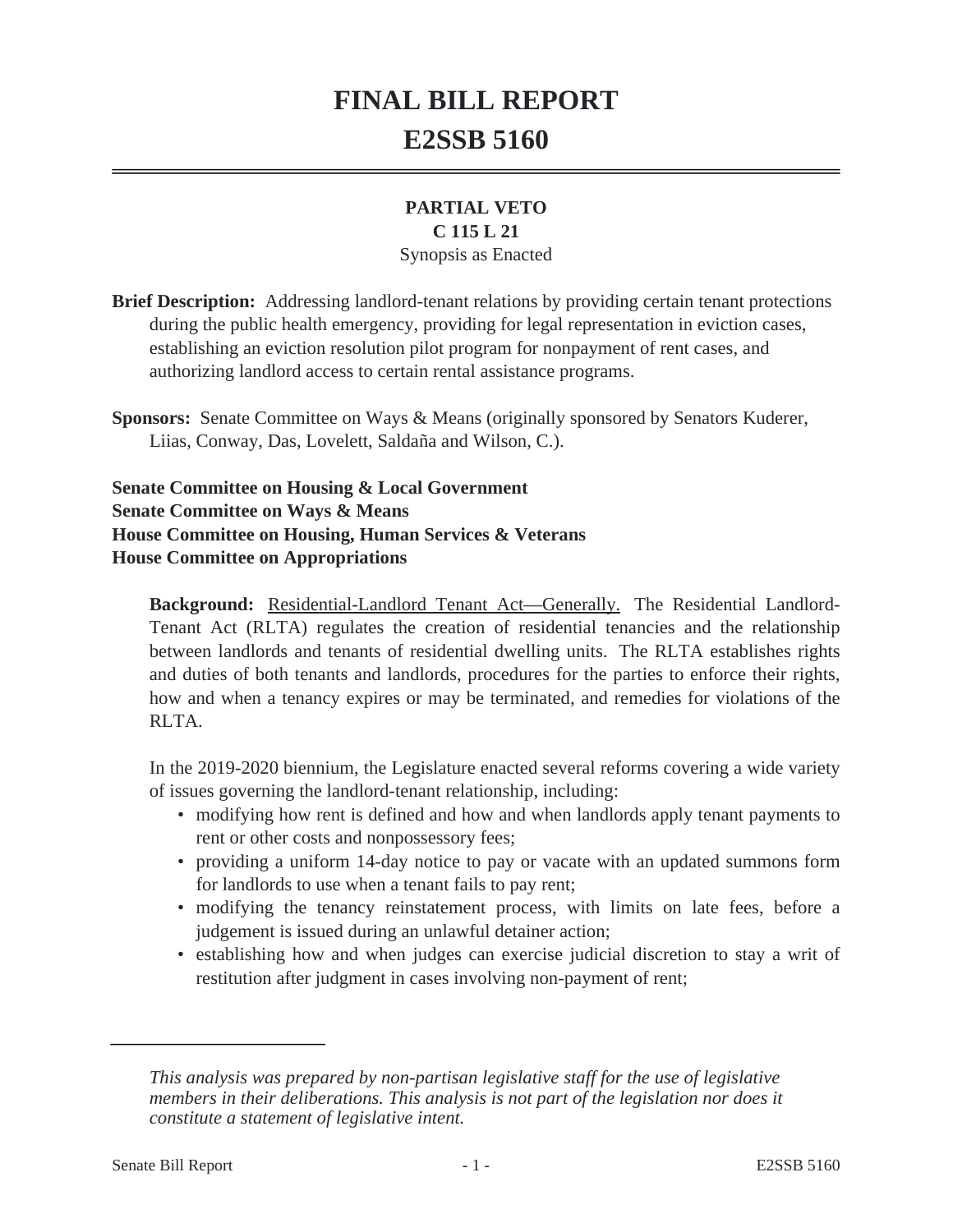# **FINAL BILL REPORT E2SSB 5160**

## **PARTIAL VETO**

#### **C 115 L 21**

#### Synopsis as Enacted

**Brief Description:** Addressing landlord-tenant relations by providing certain tenant protections during the public health emergency, providing for legal representation in eviction cases, establishing an eviction resolution pilot program for nonpayment of rent cases, and authorizing landlord access to certain rental assistance programs.

**Sponsors:** Senate Committee on Ways & Means (originally sponsored by Senators Kuderer, Liias, Conway, Das, Lovelett, Saldaña and Wilson, C.).

**Senate Committee on Housing & Local Government Senate Committee on Ways & Means House Committee on Housing, Human Services & Veterans House Committee on Appropriations**

**Background:** Residential-Landlord Tenant Act—Generally. The Residential Landlord-Tenant Act (RLTA) regulates the creation of residential tenancies and the relationship between landlords and tenants of residential dwelling units. The RLTA establishes rights and duties of both tenants and landlords, procedures for the parties to enforce their rights, how and when a tenancy expires or may be terminated, and remedies for violations of the RLTA.

In the 2019-2020 biennium, the Legislature enacted several reforms covering a wide variety of issues governing the landlord-tenant relationship, including:

- modifying how rent is defined and how and when landlords apply tenant payments to rent or other costs and nonpossessory fees;
- providing a uniform 14-day notice to pay or vacate with an updated summons form for landlords to use when a tenant fails to pay rent;
- modifying the tenancy reinstatement process, with limits on late fees, before a judgement is issued during an unlawful detainer action;
- establishing how and when judges can exercise judicial discretion to stay a writ of restitution after judgment in cases involving non-payment of rent;

*This analysis was prepared by non-partisan legislative staff for the use of legislative members in their deliberations. This analysis is not part of the legislation nor does it constitute a statement of legislative intent.*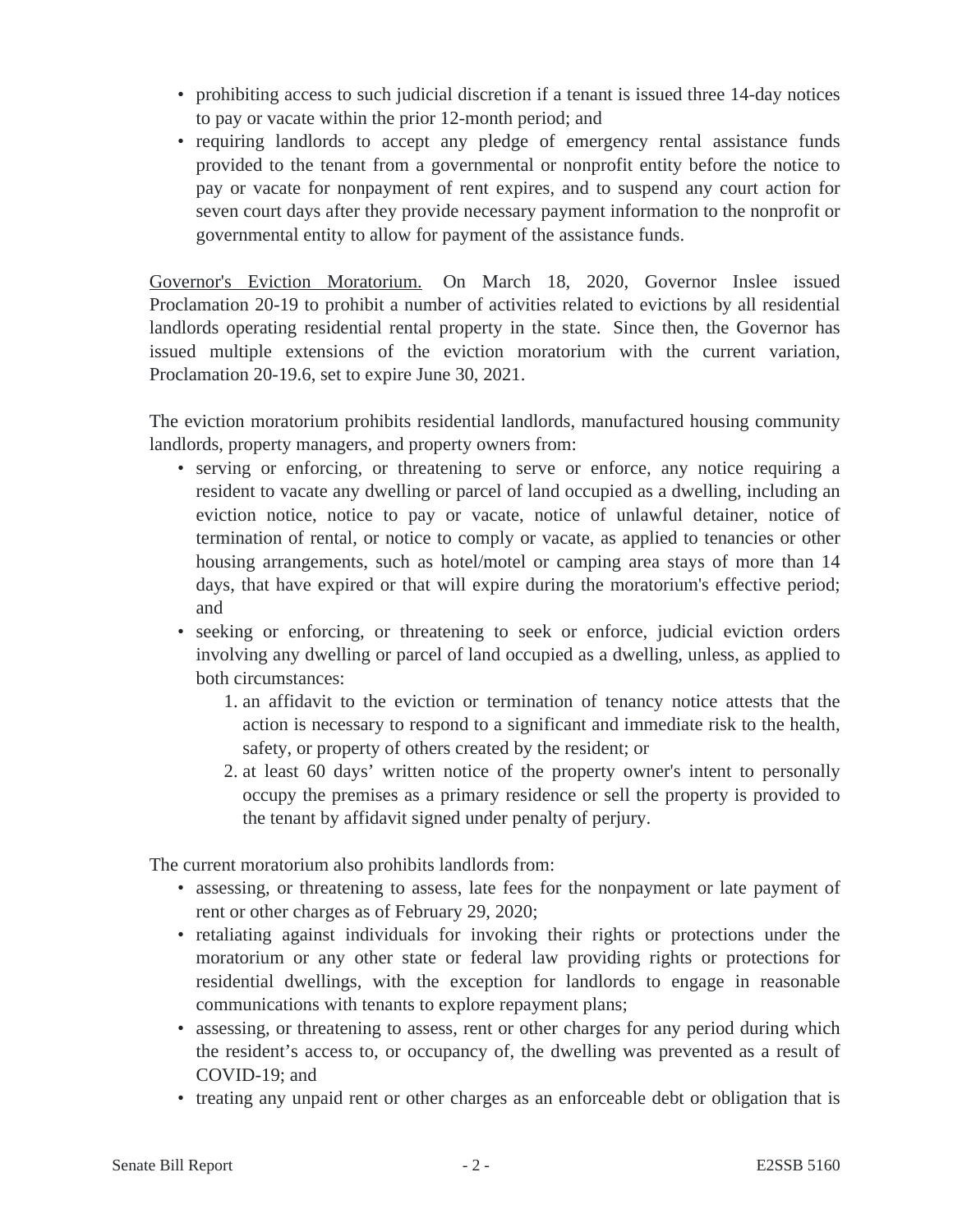- prohibiting access to such judicial discretion if a tenant is issued three 14-day notices to pay or vacate within the prior 12-month period; and
- requiring landlords to accept any pledge of emergency rental assistance funds provided to the tenant from a governmental or nonprofit entity before the notice to pay or vacate for nonpayment of rent expires, and to suspend any court action for seven court days after they provide necessary payment information to the nonprofit or governmental entity to allow for payment of the assistance funds.

Governor's Eviction Moratorium. On March 18, 2020, Governor Inslee issued Proclamation 20-19 to prohibit a number of activities related to evictions by all residential landlords operating residential rental property in the state. Since then, the Governor has issued multiple extensions of the eviction moratorium with the current variation, Proclamation 20-19.6, set to expire June 30, 2021.

The eviction moratorium prohibits residential landlords, manufactured housing community landlords, property managers, and property owners from:

- serving or enforcing, or threatening to serve or enforce, any notice requiring a resident to vacate any dwelling or parcel of land occupied as a dwelling, including an eviction notice, notice to pay or vacate, notice of unlawful detainer, notice of termination of rental, or notice to comply or vacate, as applied to tenancies or other housing arrangements, such as hotel/motel or camping area stays of more than 14 days, that have expired or that will expire during the moratorium's effective period; and
- seeking or enforcing, or threatening to seek or enforce, judicial eviction orders involving any dwelling or parcel of land occupied as a dwelling, unless, as applied to both circumstances:
	- 1. an affidavit to the eviction or termination of tenancy notice attests that the action is necessary to respond to a significant and immediate risk to the health, safety, or property of others created by the resident; or
	- 2. at least 60 days' written notice of the property owner's intent to personally occupy the premises as a primary residence or sell the property is provided to the tenant by affidavit signed under penalty of perjury.

The current moratorium also prohibits landlords from:

- assessing, or threatening to assess, late fees for the nonpayment or late payment of rent or other charges as of February 29, 2020;
- retaliating against individuals for invoking their rights or protections under the moratorium or any other state or federal law providing rights or protections for residential dwellings, with the exception for landlords to engage in reasonable communications with tenants to explore repayment plans;
- assessing, or threatening to assess, rent or other charges for any period during which the resident's access to, or occupancy of, the dwelling was prevented as a result of COVID-19; and
- treating any unpaid rent or other charges as an enforceable debt or obligation that is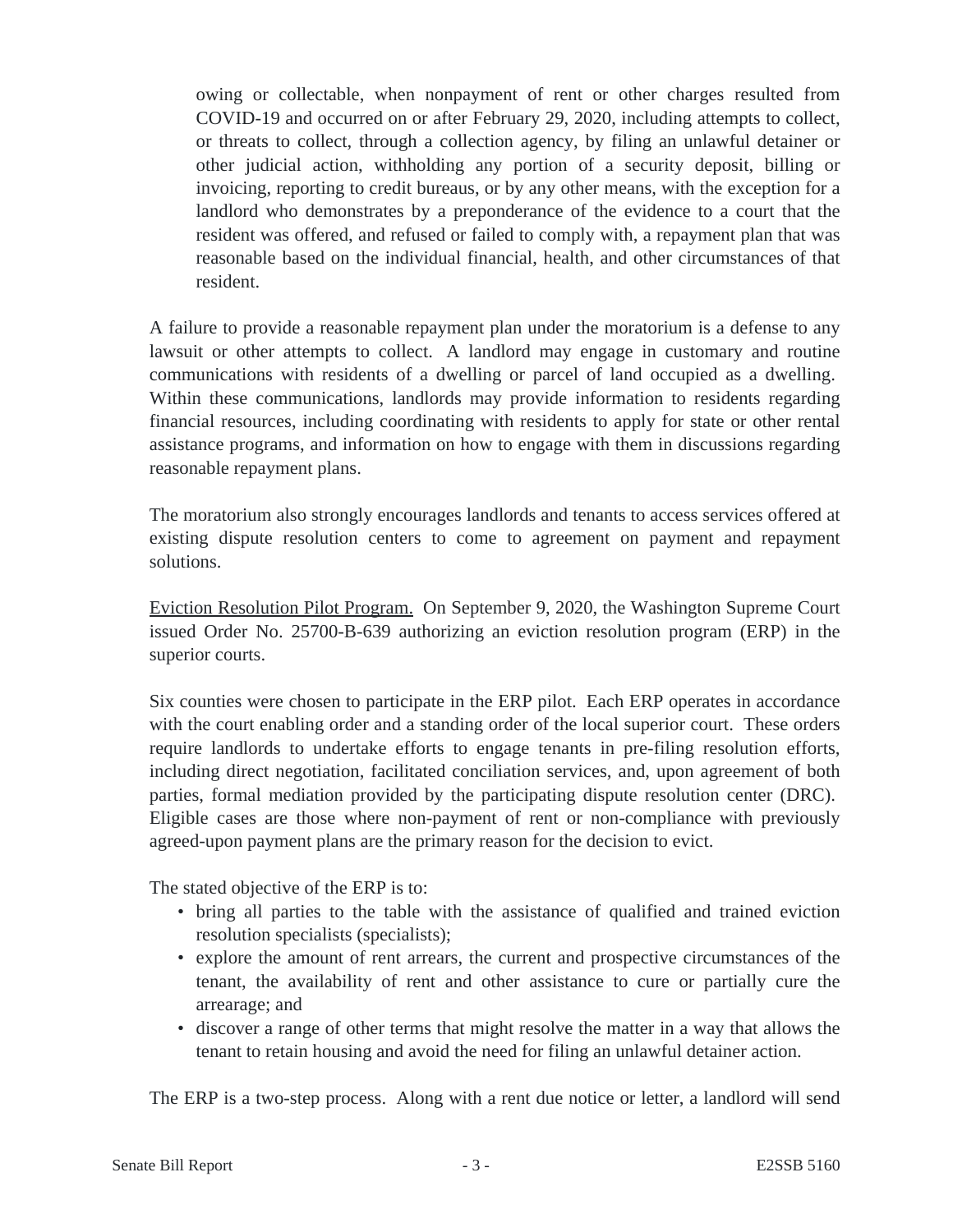owing or collectable, when nonpayment of rent or other charges resulted from COVID-19 and occurred on or after February 29, 2020, including attempts to collect, or threats to collect, through a collection agency, by filing an unlawful detainer or other judicial action, withholding any portion of a security deposit, billing or invoicing, reporting to credit bureaus, or by any other means, with the exception for a landlord who demonstrates by a preponderance of the evidence to a court that the resident was offered, and refused or failed to comply with, a repayment plan that was reasonable based on the individual financial, health, and other circumstances of that resident.

A failure to provide a reasonable repayment plan under the moratorium is a defense to any lawsuit or other attempts to collect. A landlord may engage in customary and routine communications with residents of a dwelling or parcel of land occupied as a dwelling. Within these communications, landlords may provide information to residents regarding financial resources, including coordinating with residents to apply for state or other rental assistance programs, and information on how to engage with them in discussions regarding reasonable repayment plans.

The moratorium also strongly encourages landlords and tenants to access services offered at existing dispute resolution centers to come to agreement on payment and repayment solutions.

Eviction Resolution Pilot Program. On September 9, 2020, the Washington Supreme Court issued Order No. 25700-B-639 authorizing an eviction resolution program (ERP) in the superior courts.

Six counties were chosen to participate in the ERP pilot. Each ERP operates in accordance with the court enabling order and a standing order of the local superior court. These orders require landlords to undertake efforts to engage tenants in pre-filing resolution efforts, including direct negotiation, facilitated conciliation services, and, upon agreement of both parties, formal mediation provided by the participating dispute resolution center (DRC). Eligible cases are those where non-payment of rent or non-compliance with previously agreed-upon payment plans are the primary reason for the decision to evict.

The stated objective of the ERP is to:

- bring all parties to the table with the assistance of qualified and trained eviction resolution specialists (specialists);
- explore the amount of rent arrears, the current and prospective circumstances of the tenant, the availability of rent and other assistance to cure or partially cure the arrearage; and
- discover a range of other terms that might resolve the matter in a way that allows the tenant to retain housing and avoid the need for filing an unlawful detainer action.

The ERP is a two-step process. Along with a rent due notice or letter, a landlord will send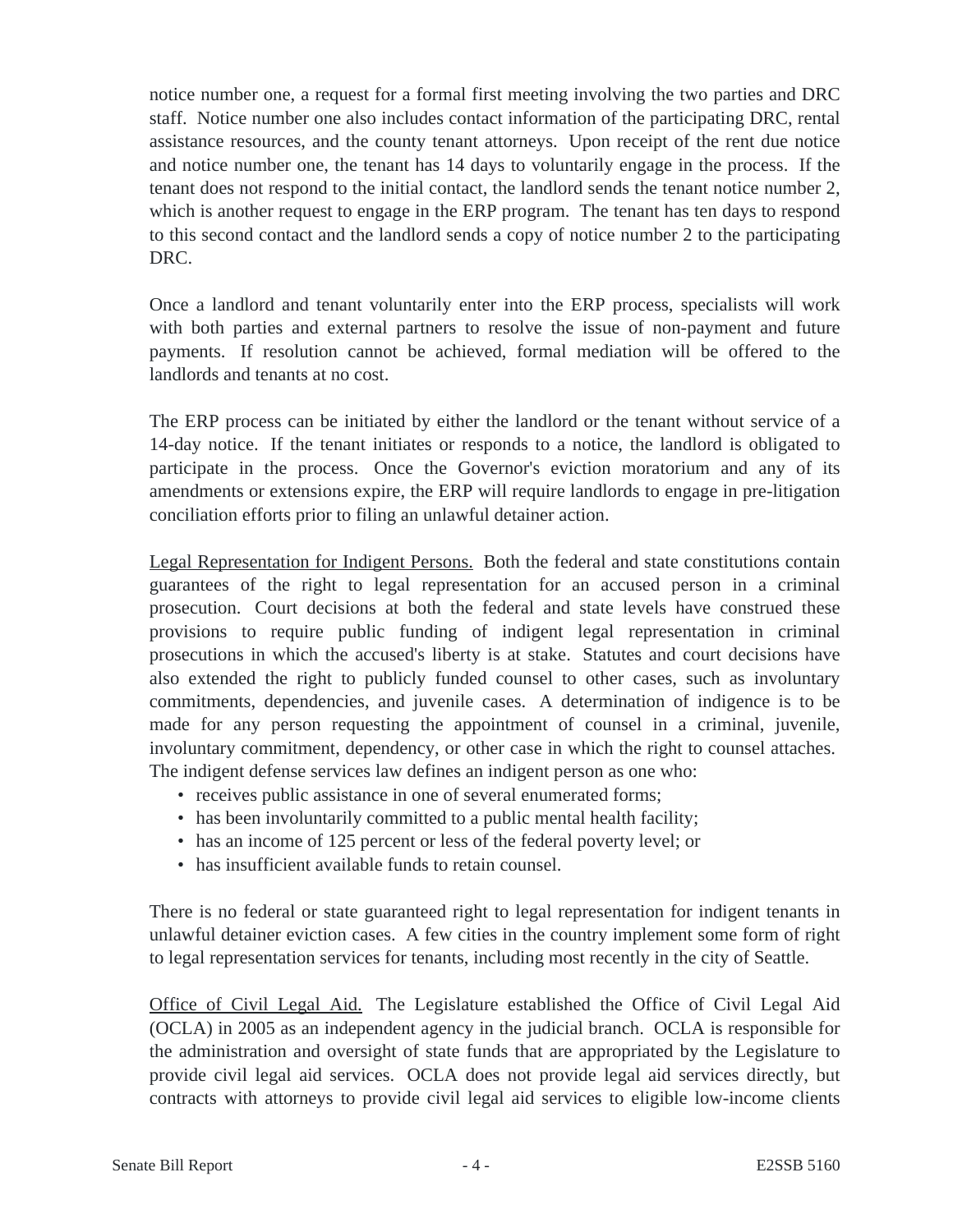notice number one, a request for a formal first meeting involving the two parties and DRC staff. Notice number one also includes contact information of the participating DRC, rental assistance resources, and the county tenant attorneys. Upon receipt of the rent due notice and notice number one, the tenant has 14 days to voluntarily engage in the process. If the tenant does not respond to the initial contact, the landlord sends the tenant notice number 2, which is another request to engage in the ERP program. The tenant has ten days to respond to this second contact and the landlord sends a copy of notice number 2 to the participating DRC.

Once a landlord and tenant voluntarily enter into the ERP process, specialists will work with both parties and external partners to resolve the issue of non-payment and future payments. If resolution cannot be achieved, formal mediation will be offered to the landlords and tenants at no cost.

The ERP process can be initiated by either the landlord or the tenant without service of a 14-day notice. If the tenant initiates or responds to a notice, the landlord is obligated to participate in the process. Once the Governor's eviction moratorium and any of its amendments or extensions expire, the ERP will require landlords to engage in pre-litigation conciliation efforts prior to filing an unlawful detainer action.

Legal Representation for Indigent Persons. Both the federal and state constitutions contain guarantees of the right to legal representation for an accused person in a criminal prosecution. Court decisions at both the federal and state levels have construed these provisions to require public funding of indigent legal representation in criminal prosecutions in which the accused's liberty is at stake. Statutes and court decisions have also extended the right to publicly funded counsel to other cases, such as involuntary commitments, dependencies, and juvenile cases. A determination of indigence is to be made for any person requesting the appointment of counsel in a criminal, juvenile, involuntary commitment, dependency, or other case in which the right to counsel attaches. The indigent defense services law defines an indigent person as one who:

- receives public assistance in one of several enumerated forms;
- has been involuntarily committed to a public mental health facility;
- has an income of 125 percent or less of the federal poverty level; or
- has insufficient available funds to retain counsel.

There is no federal or state guaranteed right to legal representation for indigent tenants in unlawful detainer eviction cases. A few cities in the country implement some form of right to legal representation services for tenants, including most recently in the city of Seattle.

Office of Civil Legal Aid. The Legislature established the Office of Civil Legal Aid (OCLA) in 2005 as an independent agency in the judicial branch. OCLA is responsible for the administration and oversight of state funds that are appropriated by the Legislature to provide civil legal aid services. OCLA does not provide legal aid services directly, but contracts with attorneys to provide civil legal aid services to eligible low-income clients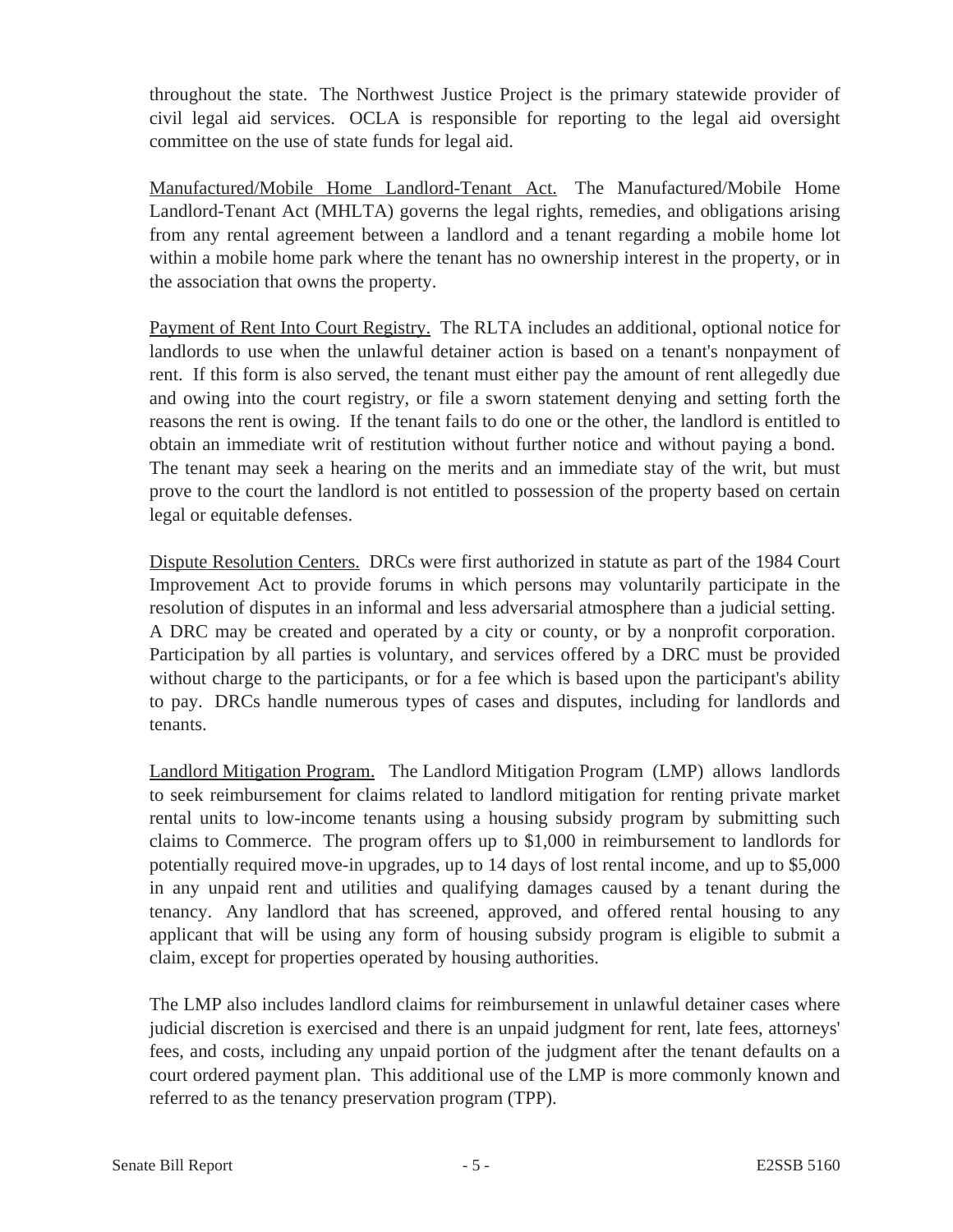throughout the state. The Northwest Justice Project is the primary statewide provider of civil legal aid services. OCLA is responsible for reporting to the legal aid oversight committee on the use of state funds for legal aid.

Manufactured/Mobile Home Landlord-Tenant Act. The Manufactured/Mobile Home Landlord-Tenant Act (MHLTA) governs the legal rights, remedies, and obligations arising from any rental agreement between a landlord and a tenant regarding a mobile home lot within a mobile home park where the tenant has no ownership interest in the property, or in the association that owns the property.

Payment of Rent Into Court Registry. The RLTA includes an additional, optional notice for landlords to use when the unlawful detainer action is based on a tenant's nonpayment of rent. If this form is also served, the tenant must either pay the amount of rent allegedly due and owing into the court registry, or file a sworn statement denying and setting forth the reasons the rent is owing. If the tenant fails to do one or the other, the landlord is entitled to obtain an immediate writ of restitution without further notice and without paying a bond. The tenant may seek a hearing on the merits and an immediate stay of the writ, but must prove to the court the landlord is not entitled to possession of the property based on certain legal or equitable defenses.

Dispute Resolution Centers. DRCs were first authorized in statute as part of the 1984 Court Improvement Act to provide forums in which persons may voluntarily participate in the resolution of disputes in an informal and less adversarial atmosphere than a judicial setting. A DRC may be created and operated by a city or county, or by a nonprofit corporation. Participation by all parties is voluntary, and services offered by a DRC must be provided without charge to the participants, or for a fee which is based upon the participant's ability to pay. DRCs handle numerous types of cases and disputes, including for landlords and tenants.

Landlord Mitigation Program. The Landlord Mitigation Program (LMP) allows landlords to seek reimbursement for claims related to landlord mitigation for renting private market rental units to low-income tenants using a housing subsidy program by submitting such claims to Commerce. The program offers up to \$1,000 in reimbursement to landlords for potentially required move-in upgrades, up to 14 days of lost rental income, and up to \$5,000 in any unpaid rent and utilities and qualifying damages caused by a tenant during the tenancy. Any landlord that has screened, approved, and offered rental housing to any applicant that will be using any form of housing subsidy program is eligible to submit a claim, except for properties operated by housing authorities.

The LMP also includes landlord claims for reimbursement in unlawful detainer cases where judicial discretion is exercised and there is an unpaid judgment for rent, late fees, attorneys' fees, and costs, including any unpaid portion of the judgment after the tenant defaults on a court ordered payment plan. This additional use of the LMP is more commonly known and referred to as the tenancy preservation program (TPP).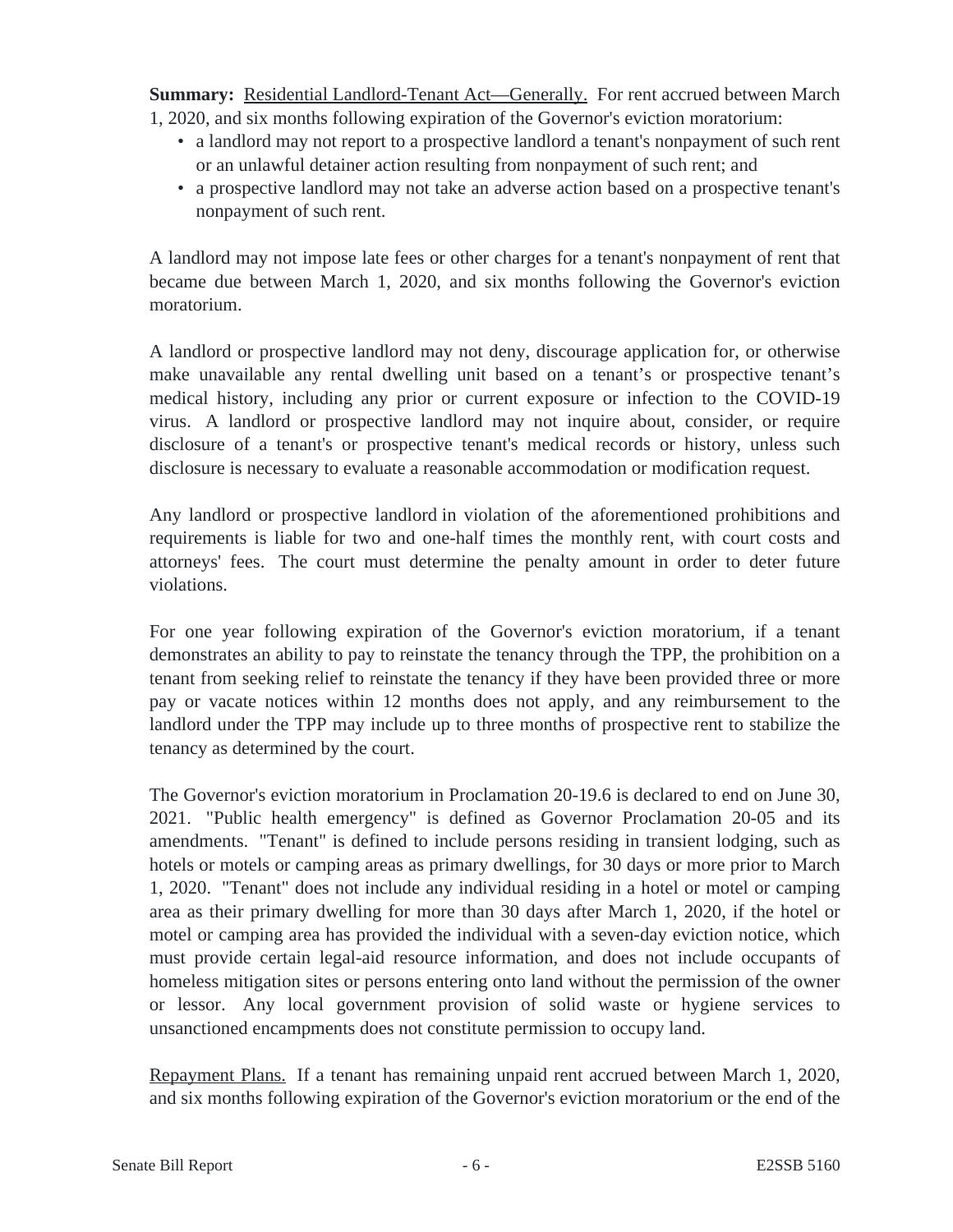**Summary:** Residential Landlord-Tenant Act—Generally. For rent accrued between March 1, 2020, and six months following expiration of the Governor's eviction moratorium:

- a landlord may not report to a prospective landlord a tenant's nonpayment of such rent or an unlawful detainer action resulting from nonpayment of such rent; and
- a prospective landlord may not take an adverse action based on a prospective tenant's nonpayment of such rent.

A landlord may not impose late fees or other charges for a tenant's nonpayment of rent that became due between March 1, 2020, and six months following the Governor's eviction moratorium.

A landlord or prospective landlord may not deny, discourage application for, or otherwise make unavailable any rental dwelling unit based on a tenant's or prospective tenant's medical history, including any prior or current exposure or infection to the COVID-19 virus. A landlord or prospective landlord may not inquire about, consider, or require disclosure of a tenant's or prospective tenant's medical records or history, unless such disclosure is necessary to evaluate a reasonable accommodation or modification request.

Any landlord or prospective landlord in violation of the aforementioned prohibitions and requirements is liable for two and one-half times the monthly rent, with court costs and attorneys' fees. The court must determine the penalty amount in order to deter future violations.

For one year following expiration of the Governor's eviction moratorium, if a tenant demonstrates an ability to pay to reinstate the tenancy through the TPP, the prohibition on a tenant from seeking relief to reinstate the tenancy if they have been provided three or more pay or vacate notices within 12 months does not apply, and any reimbursement to the landlord under the TPP may include up to three months of prospective rent to stabilize the tenancy as determined by the court.

The Governor's eviction moratorium in Proclamation 20-19.6 is declared to end on June 30, 2021. "Public health emergency" is defined as Governor Proclamation 20-05 and its amendments. "Tenant" is defined to include persons residing in transient lodging, such as hotels or motels or camping areas as primary dwellings, for 30 days or more prior to March 1, 2020. "Tenant" does not include any individual residing in a hotel or motel or camping area as their primary dwelling for more than 30 days after March 1, 2020, if the hotel or motel or camping area has provided the individual with a seven-day eviction notice, which must provide certain legal-aid resource information, and does not include occupants of homeless mitigation sites or persons entering onto land without the permission of the owner or lessor. Any local government provision of solid waste or hygiene services to unsanctioned encampments does not constitute permission to occupy land.

Repayment Plans. If a tenant has remaining unpaid rent accrued between March 1, 2020, and six months following expiration of the Governor's eviction moratorium or the end of the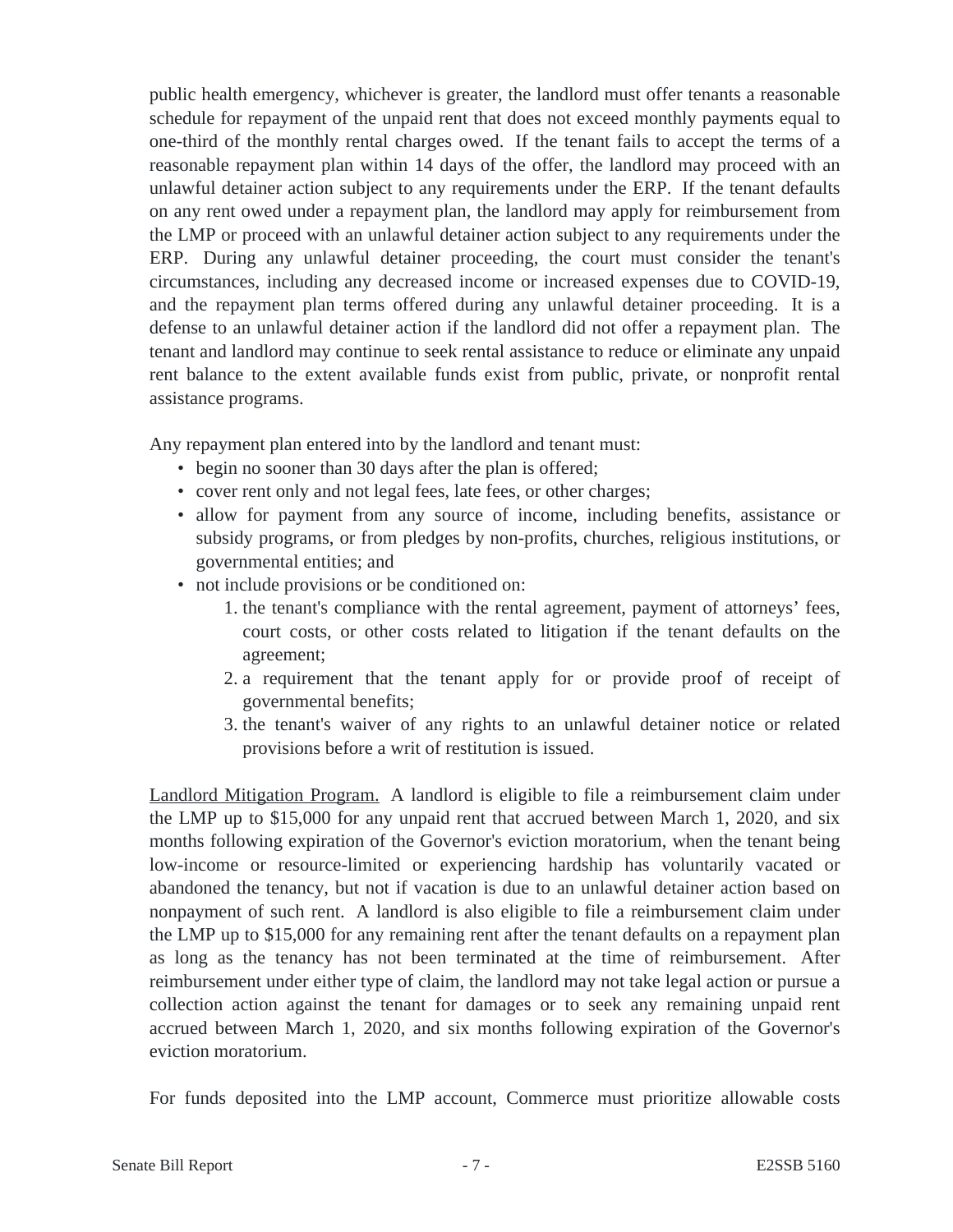public health emergency, whichever is greater, the landlord must offer tenants a reasonable schedule for repayment of the unpaid rent that does not exceed monthly payments equal to one-third of the monthly rental charges owed. If the tenant fails to accept the terms of a reasonable repayment plan within 14 days of the offer, the landlord may proceed with an unlawful detainer action subject to any requirements under the ERP. If the tenant defaults on any rent owed under a repayment plan, the landlord may apply for reimbursement from the LMP or proceed with an unlawful detainer action subject to any requirements under the ERP. During any unlawful detainer proceeding, the court must consider the tenant's circumstances, including any decreased income or increased expenses due to COVID-19, and the repayment plan terms offered during any unlawful detainer proceeding. It is a defense to an unlawful detainer action if the landlord did not offer a repayment plan. The tenant and landlord may continue to seek rental assistance to reduce or eliminate any unpaid rent balance to the extent available funds exist from public, private, or nonprofit rental assistance programs.

Any repayment plan entered into by the landlord and tenant must:

- begin no sooner than 30 days after the plan is offered;
- cover rent only and not legal fees, late fees, or other charges;
- allow for payment from any source of income, including benefits, assistance or subsidy programs, or from pledges by non-profits, churches, religious institutions, or governmental entities; and
- not include provisions or be conditioned on:
	- 1. the tenant's compliance with the rental agreement, payment of attorneys' fees, court costs, or other costs related to litigation if the tenant defaults on the agreement;
	- 2. a requirement that the tenant apply for or provide proof of receipt of governmental benefits;
	- 3. the tenant's waiver of any rights to an unlawful detainer notice or related provisions before a writ of restitution is issued.

Landlord Mitigation Program. A landlord is eligible to file a reimbursement claim under the LMP up to \$15,000 for any unpaid rent that accrued between March 1, 2020, and six months following expiration of the Governor's eviction moratorium, when the tenant being low-income or resource-limited or experiencing hardship has voluntarily vacated or abandoned the tenancy, but not if vacation is due to an unlawful detainer action based on nonpayment of such rent. A landlord is also eligible to file a reimbursement claim under the LMP up to \$15,000 for any remaining rent after the tenant defaults on a repayment plan as long as the tenancy has not been terminated at the time of reimbursement. After reimbursement under either type of claim, the landlord may not take legal action or pursue a collection action against the tenant for damages or to seek any remaining unpaid rent accrued between March 1, 2020, and six months following expiration of the Governor's eviction moratorium.

For funds deposited into the LMP account, Commerce must prioritize allowable costs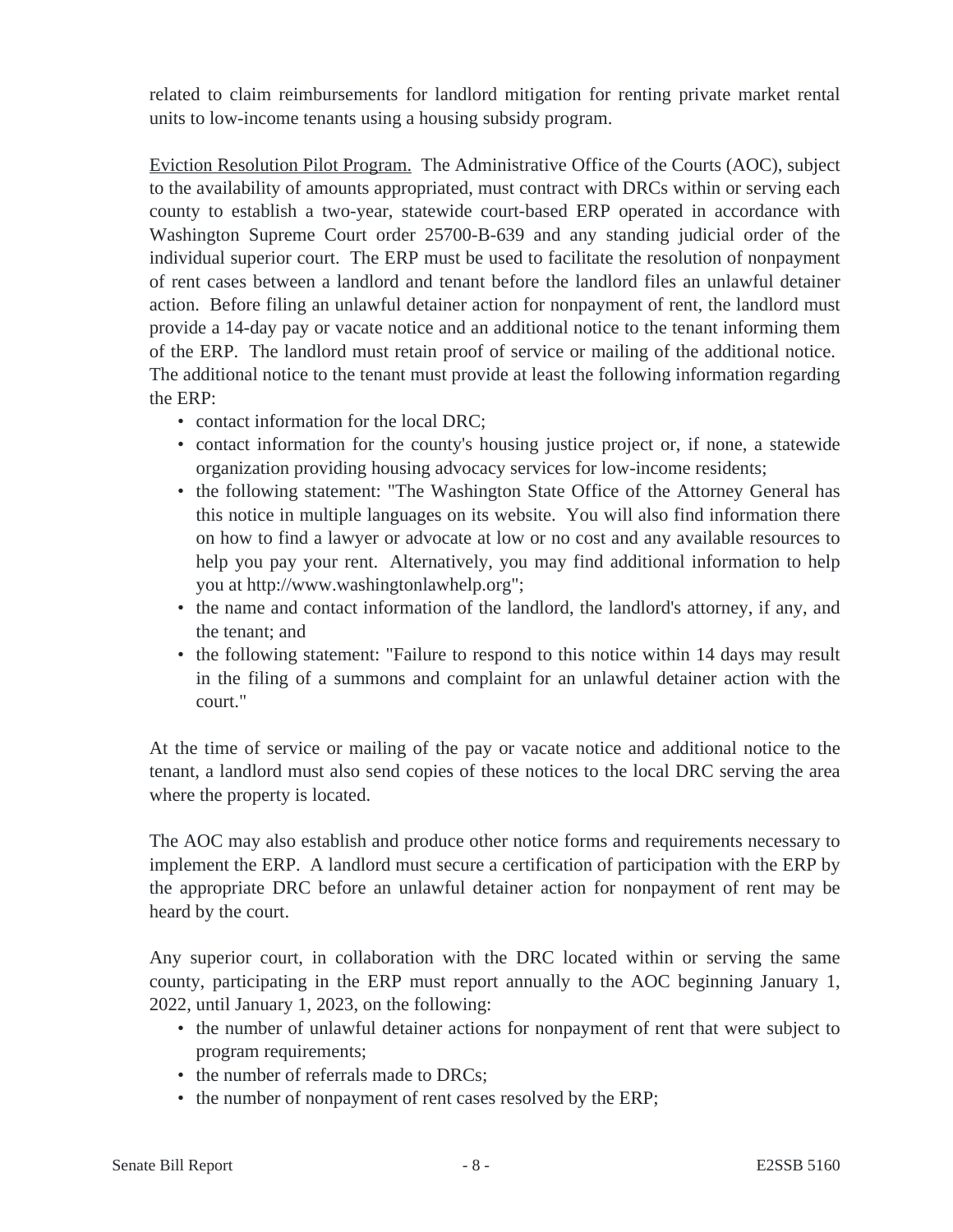related to claim reimbursements for landlord mitigation for renting private market rental units to low-income tenants using a housing subsidy program.

Eviction Resolution Pilot Program. The Administrative Office of the Courts (AOC), subject to the availability of amounts appropriated, must contract with DRCs within or serving each county to establish a two-year, statewide court-based ERP operated in accordance with Washington Supreme Court order 25700-B-639 and any standing judicial order of the individual superior court. The ERP must be used to facilitate the resolution of nonpayment of rent cases between a landlord and tenant before the landlord files an unlawful detainer action. Before filing an unlawful detainer action for nonpayment of rent, the landlord must provide a 14-day pay or vacate notice and an additional notice to the tenant informing them of the ERP. The landlord must retain proof of service or mailing of the additional notice. The additional notice to the tenant must provide at least the following information regarding the ERP:

- contact information for the local DRC;
- contact information for the county's housing justice project or, if none, a statewide organization providing housing advocacy services for low-income residents;
- the following statement: "The Washington State Office of the Attorney General has this notice in multiple languages on its website. You will also find information there on how to find a lawyer or advocate at low or no cost and any available resources to help you pay your rent. Alternatively, you may find additional information to help you at http://www.washingtonlawhelp.org";
- the name and contact information of the landlord, the landlord's attorney, if any, and the tenant; and
- the following statement: "Failure to respond to this notice within 14 days may result in the filing of a summons and complaint for an unlawful detainer action with the court."

At the time of service or mailing of the pay or vacate notice and additional notice to the tenant, a landlord must also send copies of these notices to the local DRC serving the area where the property is located.

The AOC may also establish and produce other notice forms and requirements necessary to implement the ERP. A landlord must secure a certification of participation with the ERP by the appropriate DRC before an unlawful detainer action for nonpayment of rent may be heard by the court.

Any superior court, in collaboration with the DRC located within or serving the same county, participating in the ERP must report annually to the AOC beginning January 1, 2022, until January 1, 2023, on the following:

- the number of unlawful detainer actions for nonpayment of rent that were subject to program requirements;
- the number of referrals made to DRCs;
- the number of nonpayment of rent cases resolved by the ERP;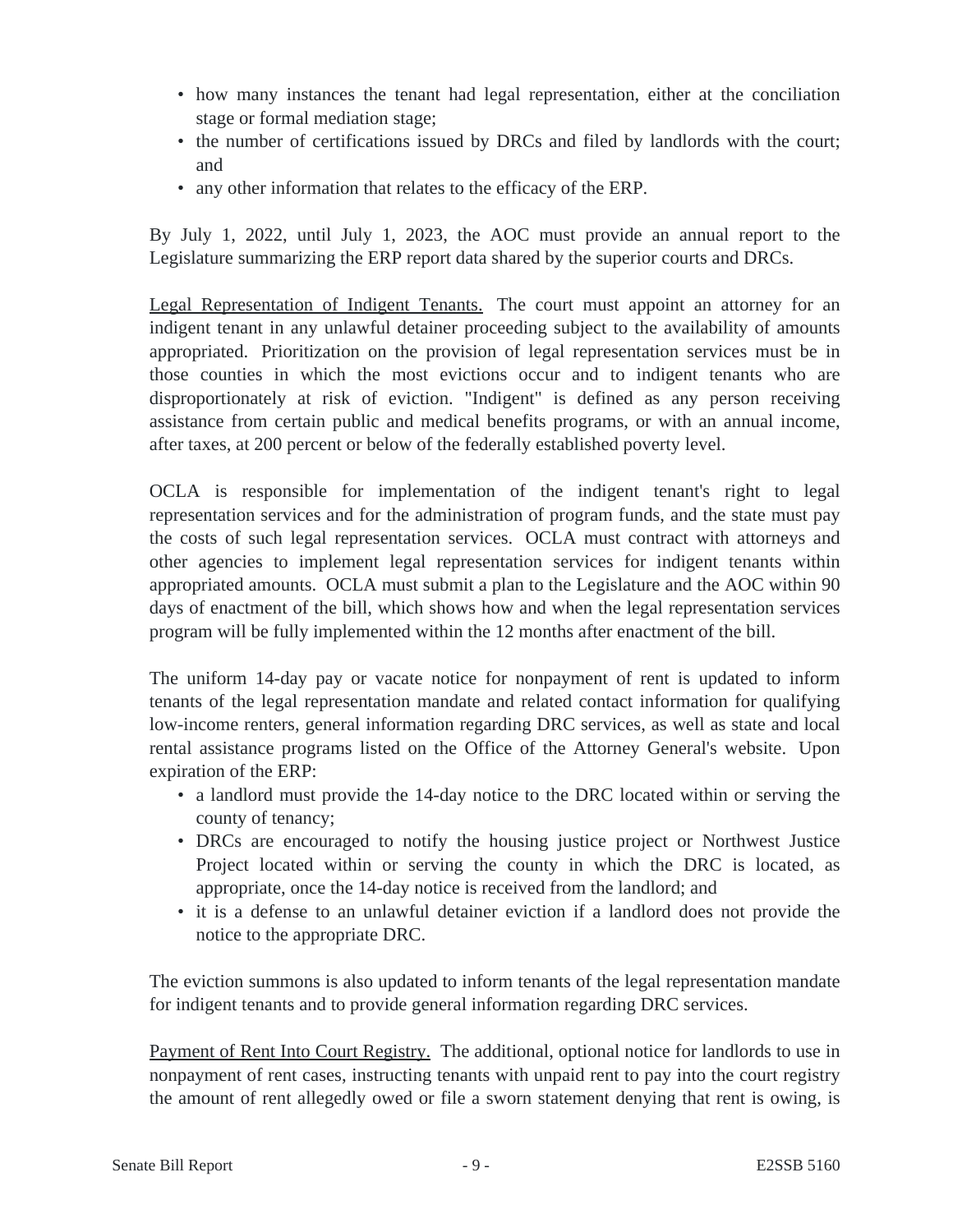- how many instances the tenant had legal representation, either at the conciliation stage or formal mediation stage;
- the number of certifications issued by DRCs and filed by landlords with the court; and
- any other information that relates to the efficacy of the ERP.

By July 1, 2022, until July 1, 2023, the AOC must provide an annual report to the Legislature summarizing the ERP report data shared by the superior courts and DRCs.

Legal Representation of Indigent Tenants. The court must appoint an attorney for an indigent tenant in any unlawful detainer proceeding subject to the availability of amounts appropriated. Prioritization on the provision of legal representation services must be in those counties in which the most evictions occur and to indigent tenants who are disproportionately at risk of eviction. "Indigent" is defined as any person receiving assistance from certain public and medical benefits programs, or with an annual income, after taxes, at 200 percent or below of the federally established poverty level.

OCLA is responsible for implementation of the indigent tenant's right to legal representation services and for the administration of program funds, and the state must pay the costs of such legal representation services. OCLA must contract with attorneys and other agencies to implement legal representation services for indigent tenants within appropriated amounts. OCLA must submit a plan to the Legislature and the AOC within 90 days of enactment of the bill, which shows how and when the legal representation services program will be fully implemented within the 12 months after enactment of the bill.

The uniform 14-day pay or vacate notice for nonpayment of rent is updated to inform tenants of the legal representation mandate and related contact information for qualifying low-income renters, general information regarding DRC services, as well as state and local rental assistance programs listed on the Office of the Attorney General's website. Upon expiration of the ERP:

- a landlord must provide the 14-day notice to the DRC located within or serving the county of tenancy;
- DRCs are encouraged to notify the housing justice project or Northwest Justice Project located within or serving the county in which the DRC is located, as appropriate, once the 14-day notice is received from the landlord; and
- it is a defense to an unlawful detainer eviction if a landlord does not provide the notice to the appropriate DRC.

The eviction summons is also updated to inform tenants of the legal representation mandate for indigent tenants and to provide general information regarding DRC services.

Payment of Rent Into Court Registry. The additional, optional notice for landlords to use in nonpayment of rent cases, instructing tenants with unpaid rent to pay into the court registry the amount of rent allegedly owed or file a sworn statement denying that rent is owing, is